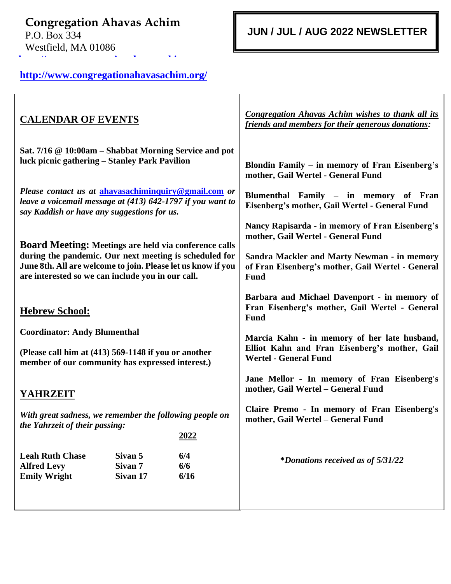**Congregation Ahavas Achim** P.O. Box 334 Westfield, MA 01086 **[http://www.congregationahavasachim.o](http://www.congregationahavasachim.org/)**

 **JUN / JUL / AUG 2022 NEWSLETTER**

# **<http://www.congregationahavasachim.org/> [rg/](http://www.congregationahavasachim.org/)**

| <b>CALENDAR OF EVENTS</b>                                                                                                                                                                                                                   |                                                      |                    | <b>Congregation Ahavas Achim wishes to thank all its</b><br>friends and members for their generous donations:                 |
|---------------------------------------------------------------------------------------------------------------------------------------------------------------------------------------------------------------------------------------------|------------------------------------------------------|--------------------|-------------------------------------------------------------------------------------------------------------------------------|
| Sat. 7/16 @ 10:00am – Shabbat Morning Service and pot<br>luck picnic gathering – Stanley Park Pavilion                                                                                                                                      |                                                      |                    | Blondin Family - in memory of Fran Eisenberg's<br>mother, Gail Wertel - General Fund                                          |
| Please contact us at ahavasachiminquiry@gmail.com or<br>leave a voicemail message at (413) 642-1797 if you want to<br>say Kaddish or have any suggestions for us.                                                                           |                                                      |                    | Blumenthal Family - in memory of Fran<br>Eisenberg's mother, Gail Wertel - General Fund                                       |
|                                                                                                                                                                                                                                             |                                                      |                    | Nancy Rapisarda - in memory of Fran Eisenberg's<br>mother, Gail Wertel - General Fund                                         |
| <b>Board Meeting: Meetings are held via conference calls</b><br>during the pandemic. Our next meeting is scheduled for<br>June 8th. All are welcome to join. Please let us know if you<br>are interested so we can include you in our call. |                                                      |                    | <b>Sandra Mackler and Marty Newman - in memory</b><br>of Fran Eisenberg's mother, Gail Wertel - General<br>Fund               |
| <b>Hebrew School:</b>                                                                                                                                                                                                                       |                                                      |                    | Barbara and Michael Davenport - in memory of<br>Fran Eisenberg's mother, Gail Wertel - General<br><b>Fund</b>                 |
| <b>Coordinator: Andy Blumenthal</b><br>(Please call him at (413) 569-1148 if you or another<br>member of our community has expressed interest.)                                                                                             |                                                      |                    | Marcia Kahn - in memory of her late husband,<br>Elliot Kahn and Fran Eisenberg's mother, Gail<br><b>Wertel - General Fund</b> |
| <b>YAHRZEIT</b>                                                                                                                                                                                                                             |                                                      |                    | Jane Mellor - In memory of Fran Eisenberg's<br>mother, Gail Wertel - General Fund                                             |
| With great sadness, we remember the following people on<br>the Yahrzeit of their passing:                                                                                                                                                   |                                                      |                    | Claire Premo - In memory of Fran Eisenberg's<br>mother, Gail Wertel - General Fund                                            |
|                                                                                                                                                                                                                                             |                                                      | 2022               |                                                                                                                               |
| <b>Leah Ruth Chase</b><br><b>Alfred Levy</b><br><b>Emily Wright</b>                                                                                                                                                                         | Sivan 5<br>Sivan <sub>7</sub><br>Sivan <sub>17</sub> | 6/4<br>6/6<br>6/16 | <i>*Donations received as of 5/31/22</i>                                                                                      |
|                                                                                                                                                                                                                                             |                                                      |                    |                                                                                                                               |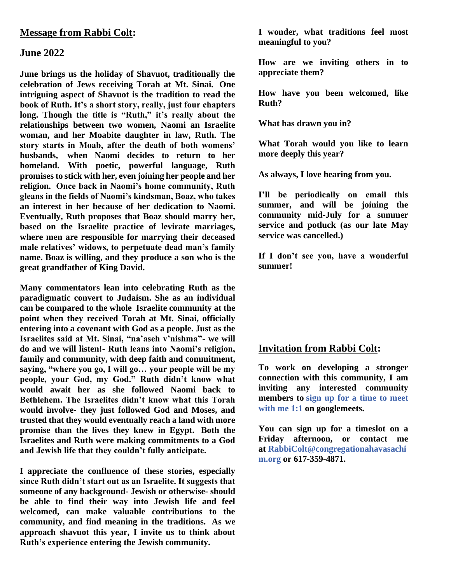#### **Message from Rabbi Colt:**

#### **June 2022**

**June brings us the holiday of Shavuot, traditionally the celebration of Jews receiving Torah at Mt. Sinai. One intriguing aspect of Shavuot is the tradition to read the book of Ruth. It's a short story, really, just four chapters long. Though the title is "Ruth," it's really about the relationships between two women, Naomi an Israelite woman, and her Moabite daughter in law, Ruth. The story starts in Moab, after the death of both womens' husbands, when Naomi decides to return to her homeland. With poetic, powerful language, Ruth promises to stick with her, even joining her people and her religion. Once back in Naomi's home community, Ruth gleans in the fields of Naomi's kindsman, Boaz, who takes an interest in her because of her dedication to Naomi. Eventually, Ruth proposes that Boaz should marry her, based on the Israelite practice of levirate marriages, where men are responsible for marrying their deceased male relatives' widows, to perpetuate dead man's family name. Boaz is willing, and they produce a son who is the great grandfather of King David.**

**Many commentators lean into celebrating Ruth as the paradigmatic convert to Judaism. She as an individual can be compared to the whole Israelite community at the point when they received Torah at Mt. Sinai, officially entering into a covenant with God as a people. Just as the Israelites said at Mt. Sinai, "na'aseh v'nishma"- we will do and we will listen!- Ruth leans into Naomi's religion, family and community, with deep faith and commitment, saying, "where you go, I will go… your people will be my people, your God, my God." Ruth didn't know what would await her as she followed Naomi back to Bethlehem. The Israelites didn't know what this Torah would involve- they just followed God and Moses, and trusted that they would eventually reach a land with more promise than the lives they knew in Egypt. Both the Israelites and Ruth were making commitments to a God and Jewish life that they couldn't fully anticipate.**

**I appreciate the confluence of these stories, especially since Ruth didn't start out as an Israelite. It suggests that someone of any background- Jewish or otherwise- should be able to find their way into Jewish life and feel welcomed, can make valuable contributions to the community, and find meaning in the traditions. As we approach shavuot this year, I invite us to think about Ruth's experience entering the Jewish community.**

**I wonder, what traditions feel most meaningful to you?**

**How are we inviting others in to appreciate them?**

**How have you been welcomed, like Ruth?**

**What has drawn you in?**

**What Torah would you like to learn more deeply this year?**

**As always, I love hearing from you.**

**I'll be periodically on email this summer, and will be joining the community mid-July for a summer service and potluck (as our late May service was cancelled.)**

**If I don't see you, have a wonderful summer!**

#### **Invitation from Rabbi Colt:**

**To work on developing a stronger connection with this community, I am inviting any interested community members to [sign up for a time to meet](https://calendar.google.com/calendar/u/0/selfsched?sstoken=UUY5NkoyZDNBbTczfGRlZmF1bHR8NTc5YzYzNjllZDMyYzNlY2M2OTY2MmMyM2UzYWMzYmU)  [with me 1:1](https://calendar.google.com/calendar/u/0/selfsched?sstoken=UUY5NkoyZDNBbTczfGRlZmF1bHR8NTc5YzYzNjllZDMyYzNlY2M2OTY2MmMyM2UzYWMzYmU) on googlemeets.**

**You can sign up for a timeslot on a Friday afternoon, or contact me at [RabbiColt@congregationahavasachi](mailto:RabbiColt@congregationahavasachim.org) [m.org](mailto:RabbiColt@congregationahavasachim.org) or 617-359-4871.**